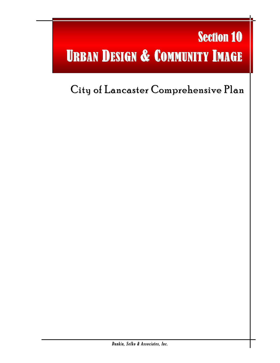# Section 10 URBAN DESIGN & COMMUNITY IMAGE

l

## City of Lancaster Comprehensive Plan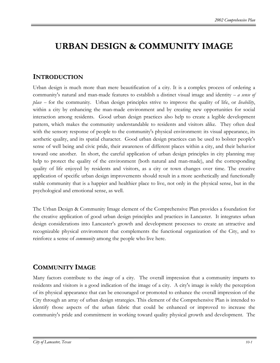## **URBAN DESIGN & COMMUNITY IMAGE**

## **INTRODUCTION**

Urban design is much more than mere beautification of a city. It is a complex process of ordering a community's natural and man-made features to establish a distinct visual image and identity  $-a$  sense of *place* – for the community. Urban design principles strive to improve the quality of life, or *livability*, within a city by enhancing the man-made environment and by creating new opportunities for social interaction among residents. Good urban design practices also help to create a legible development pattern, which makes the community understandable to residents and visitors alike. They often deal with the sensory response of people to the community's physical environment: its visual appearance, its aesthetic quality, and its spatial character. Good urban design practices can be used to bolster people's sense of well being and civic pride, their awareness of different places within a city, and their behavior toward one another. In short, the careful application of urban design principles in city planning may help to protect the quality of the environment (both natural and man-made), and the corresponding quality of life enjoyed by residents and visitors, as a city or town changes over time. The creative application of specific urban design improvements should result in a more aesthetically and functionally stable community that is a happier and healthier place to live, not only in the physical sense, but in the psychological and emotional sense, as well.

The Urban Design & Community Image element of the Comprehensive Plan provides a foundation for the creative application of good urban design principles and practices in Lancaster. It integrates urban design considerations into Lancaster's growth and development processes to create an attractive and recognizable physical environment that complements the functional organization of the City, and to reinforce a sense of *community* among the people who live here.

## **COMMUNITY IMAGE**

Many factors contribute to the *image* of a city. The overall impression that a community imparts to residents and visitors is a good indication of the image of a city. A city's image is solely the perception of its physical appearance that can be encouraged or promoted to enhance the overall impression of the City through an array of urban design strategies. This element of the Comprehensive Plan is intended to identify those aspects of the urban fabric that could be enhanced or improved to increase the community's pride and commitment in working toward quality physical growth and development. The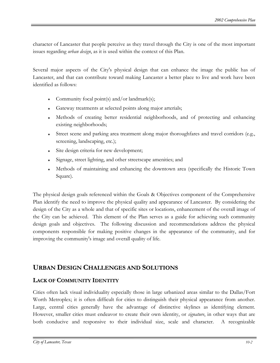character of Lancaster that people perceive as they travel through the City is one of the most important issues regarding *urban design*, as it is used within the context of this Plan.

Several major aspects of the City's physical design that can enhance the image the public has of Lancaster, and that can contribute toward making Lancaster a better place to live and work have been identified as follows:

- Community focal point(s) and/or landmark(s);
- Gateway treatments at selected points along major arterials;
- Methods of creating better residential neighborhoods, and of protecting and enhancing existing neighborhoods;
- Street scene and parking area treatment along major thoroughfares and travel corridors (e.g., screening, landscaping, etc.);
- Site design criteria for new development;
- Signage, street lighting, and other streetscape amenities; and
- Methods of maintaining and enhancing the downtown area (specifically the Historic Town Square).

The physical design goals referenced within the Goals & Objectives component of the Comprehensive Plan identify the need to improve the physical quality and appearance of Lancaster. By considering the design of the City as a whole and that of specific sites or locations, enhancement of the overall image of the City can be achieved. This element of the Plan serves as a guide for achieving such community design goals and objectives. The following discussion and recommendations address the physical components responsible for making positive changes in the appearance of the community, and for improving the community's image and overall quality of life.

## **URBAN DESIGN CHALLENGES AND SOLUTIONS**

## **LACK OF COMMUNITY IDENTITY**

Cities often lack visual individuality especially those in large urbanized areas similar to the Dallas/Fort Worth Metroplex; it is often difficult for cities to distinguish their physical appearance from another. Large, central cities generally have the advantage of distinctive skylines as identifying element. However, smaller cities must endeavor to create their own identity, or *signature*, in other ways that are both conducive and responsive to their individual size, scale and character. A recognizable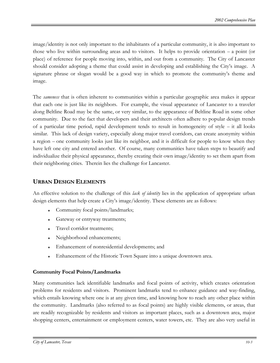image/identity is not only important to the inhabitants of a particular community, it is also important to those who live within surrounding areas and to visitors. It helps to provide orientation  $-$  a point (or place) of reference for people moving into, within, and out from a community. The City of Lancaster should consider adopting a theme that could assist in developing and establishing the City's image. A signature phrase or slogan would be a good way in which to promote the community's theme and image.

The *sameness* that is often inherent to communities within a particular geographic area makes it appear that each one is just like its neighbors. For example, the visual appearance of Lancaster to a traveler along Beltline Road may be the same, or very similar, to the appearance of Beltline Road in some other community. Due to the fact that developers and their architects often adhere to popular design trends of a particular time period, rapid development tends to result in homogeneity of style  $-$  it all looks similar. This lack of design variety, especially along major travel corridors, can create anonymity within a region – one community looks just like its neighbor, and it is difficult for people to know when they have left one city and entered another. Of course, many communities have taken steps to beautify and individualize their physical appearance, thereby creating their own image/identity to set them apart from their neighboring cities. Therein lies the challenge for Lancaster.

## **URBAN DESIGN ELEMENTS**

An effective solution to the challenge of this *lack of identity* lies in the application of appropriate urban design elements that help create a City's image/identity. These elements are as follows:

- Community focal points/landmarks;
- Gateway or entryway treatments;
- Travel corridor treatments;
- Neighborhood enhancements;
- Enhancement of nonresidential developments; and
- Enhancement of the Historic Town Square into a unique downtown area.

## **Community Focal Points/Landmarks**

Many communities lack identifiable landmarks and focal points of activity, which creates orientation problems for residents and visitors. Prominent landmarks tend to enhance guidance and way-finding, which entails knowing where one is at any given time, and knowing how to reach any other place within the community. Landmarks (also referred to as focal points) are highly visible elements, or areas, that are readily recognizable by residents and visitors as important places, such as a downtown area, major shopping centers, entertainment or employment centers, water towers, etc. They are also very useful in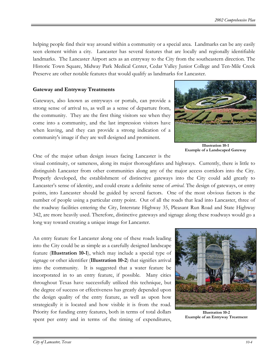helping people find their way around within a community or a special area. Landmarks can be any easily seen element within a city. Lancaster has several features that are locally and regionally identifiable landmarks. The Lancaster Airport acts as an entryway to the City from the southeastern direction. The Historic Town Square, Midway Park Medical Center, Cedar Valley Junior College and Ten-Mile Creek Preserve are other notable features that would qualify as landmarks for Lancaster.

## **Gateway and Entryway Treatments**

Gateways, also known as entryways or portals, can provide a strong sense of arrival to, as well as a sense of departure from, the community. They are the first thing visitors see when they come into a community, and the last impression visitors have when leaving, and they can provide a strong indication of a community's image if they are well designed and prominent.

One of the major urban design issues facing Lancaster is the

visual continuity, or sameness, along its major thoroughfares and highways. Currently, there is little to distinguish Lancaster from other communities along any of the major access corridors into the City. Properly developed, the establishment of distinctive gateways into the City could add greatly to Lancaster's sense of identity, and could create a definite sense of *arrival*. The design of gateways, or entry points, into Lancaster should be guided by several factors. One of the most obvious factors is the number of people using a particular entry point. Out of all the roads that lead into Lancaster, three of the roadway facilities entering the City, Interstate Highway 35, Pleasant Run Road and State Highway 342, are more heavily used. Therefore, distinctive gateways and signage along these roadways would go a long way toward creating a unique image for Lancaster.

An entry feature for Lancaster along one of these roads leading into the City could be as simple as a carefully designed landscape feature (**Illustration 10-1**), which may include a special type of signage or other identifier (**Illustration 10-2**) that signifies arrival into the community. It is suggested that a water feature be incorporated in to an entry feature, if possible. Many cities throughout Texas have successfully utilized this technique, but the degree of success or effectiveness has greatly depended upon the design quality of the entry feature, as well as upon how strategically it is located and how visible it is from the road. Priority for funding entry features, both in terms of total dollars spent per entry and in terms of the timing of expenditures,



**Illustration 10-2 Example of an Entryway Treatment** 



**Illustration 10-1 Example of a Landscaped Gateway**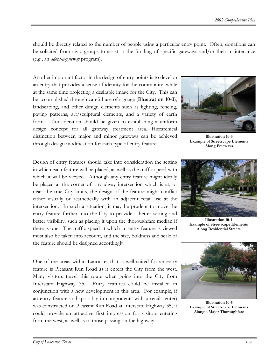should be directly related to the number of people using a particular entry point. Often, donations can be solicited from civic groups to assist in the funding of specific gateways and/or their maintenance (e.g., an *adopt-a-gateway* program).

Another important factor in the design of entry points is to develop an entry that provides a sense of identity for the community, while at the same time projecting a desirable image for the City. This can be accomplished through careful use of signage (**Illustration 10-3**), landscaping, and other design elements such as lighting, fencing, paving patterns, art/sculptural elements, and a variety of earth forms. Consideration should be given to establishing a uniform design concept for all gateway treatment area. Hierarchical distinction between major and minor gateways can be achieved through design modification for each type of entry feature.

Design of entry features should take into consideration the setting in which each feature will be placed, as well as the traffic speed with which it will be viewed. Although any entry feature might ideally be placed at the corner of a roadway intersection which is at, or near, the true City limits, the design of the feature might conflict either visually or aesthetically with an adjacent retail use at the intersection. In such a situation, it may be prudent to move the entry feature further into the City to provide a better setting and better visibility, such as placing it upon the thoroughfare median if there is one. The traffic speed at which an entry feature is viewed must also be taken into account, and the size, boldness and scale of the feature should be designed accordingly.

One of the areas within Lancaster that is well suited for an entry feature is Pleasant Run Road as it enters the City from the west. Many visitors travel this route when going into the City from Interstate Highway 35. Entry features could be installed in conjunction with a new development in this area. For example, if an entry feature and (possibly in components with a retail center) was constructed on Pleasant Run Road at Interstate Highway 35, it could provide an attractive first impression for visitors entering from the west, as well as to those passing on the highway.



**Illustration 10-3 Example of Streetscape Elements Along Freeways**



**Illustration 10-4 Example of Streetscape Elements Along Residential Streets** 



**Illustration 10-5 Example of Streetscape Elements Along a Major Thoroughfare**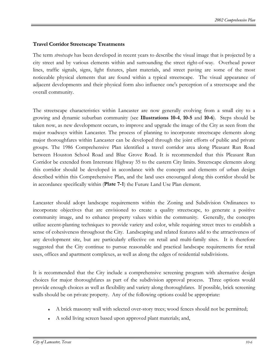## **Travel Corridor Streetscape Treatments**

The term *streetscape* has been developed in recent years to describe the visual image that is projected by a city street and by various elements within and surrounding the street right-of-way. Overhead power lines, traffic signals, signs, light fixtures, plant materials, and street paving are some of the most noticeable physical elements that are found within a typical streetscape. The visual appearance of adjacent developments and their physical form also influence one's perception of a streetscape and the overall community.

The streetscape characteristics within Lancaster are now generally evolving from a small city to a growing and dynamic suburban community (see **Illustrations 10-4**, **10-5** and **10-6**). Steps should be taken now, as new development occurs, to improve and upgrade the image of the City as seen from the major roadways within Lancaster. The process of planning to incorporate streetscape elements along major thoroughfares within Lancaster can be developed through the joint efforts of public and private groups. The 1986 Comprehensive Plan identified a travel corridor area along Pleasant Run Road between Houston School Road and Blue Grove Road. It is recommended that this Pleasant Run Corridor be extended from Interstate Highway 35 to the eastern City limits. Streetscape elements along this corridor should be developed in accordance with the concepts and elements of urban design described within this Comprehensive Plan, and the land uses encouraged along this corridor should be in accordance specifically within (**Plate 7-1**) the Future Land Use Plan element.

Lancaster should adopt landscape requirements within the Zoning and Subdivision Ordinances to incorporate objectives that are envisioned to create a quality streetscape, to generate a positive community image, and to enhance property values within the community. Generally, the concepts utilize accent-planting techniques to provide variety and color, while requiring street trees to establish a sense of cohesiveness throughout the City. Landscaping and related features add to the attractiveness of any development site, but are particularly effective on retail and multi-family sites. It is therefore suggested that the City continue to pursue reasonable and practical landscape requirements for retail uses, offices and apartment complexes, as well as along the edges of residential subdivisions.

It is recommended that the City include a comprehensive screening program with alternative design choices for major thoroughfares as part of the subdivision approval process. Three options would provide enough choices as well as flexibility and variety along thoroughfares. If possible, brick screening walls should be on private property. Any of the following options could be appropriate:

- ♦ A brick masonry wall with selected over-story trees; wood fences should not be permitted;
- A solid living screen based upon approved plant materials; and,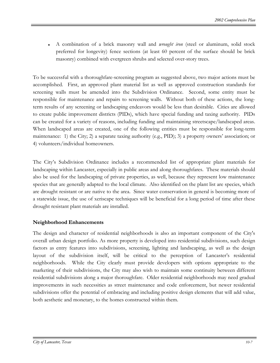♦ A combination of a brick masonry wall and *wrought iron* (steel or aluminum, solid stock preferred for longevity) fence sections (at least 60 percent of the surface should be brick masonry) combined with evergreen shrubs and selected over-story trees.

To be successful with a thoroughfare-screening program as suggested above, two major actions must be accomplished. First, an approved plant material list as well as approved construction standards for screening walls must be amended into the Subdivision Ordinance. Second, some entity must be responsible for maintenance and repairs to screening walls. Without both of these actions, the longterm results of any screening or landscaping endeavors would be less than desirable. Cities are allowed to create public improvement districts (PIDs), which have special funding and taxing authority. PIDs can be created for a variety of reasons, including funding and maintaining streetscape/landscaped areas. When landscaped areas are created, one of the following entities must be responsible for long-term maintenance: 1) the City; 2) a separate taxing authority (e.g., PID); 3) a property owners' association; or 4) volunteers/individual homeowners.

The City's Subdivision Ordinance includes a recommended list of appropriate plant materials for landscaping within Lancaster, especially in public areas and along thoroughfares. These materials should also be used for the landscaping of private properties, as well, because they represent low maintenance species that are generally adapted to the local climate. Also identified on the plant list are species, which are drought resistant or are native to the area. Since water conservation in general is becoming more of a statewide issue, the use of xeriscape techniques will be beneficial for a long period of time after these drought resistant plant materials are installed.

## **Neighborhood Enhancements**

The design and character of residential neighborhoods is also an important component of the City's overall urban design portfolio. As more property is developed into residential subdivisions, such design factors as entry features into subdivisions, screening, lighting and landscaping, as well as the design layout of the subdivision itself, will be critical to the perception of Lancaster's residential neighborhoods. While the City clearly must provide developers with options appropriate to the marketing of their subdivisions, the City may also wish to maintain some continuity between different residential subdivisions along a major thoroughfare. Older residential neighborhoods may need gradual improvements in such necessities as street maintenance and code enforcement, but newer residential subdivisions offer the potential of embracing and including positive design elements that will add value, both aesthetic and monetary, to the homes constructed within them.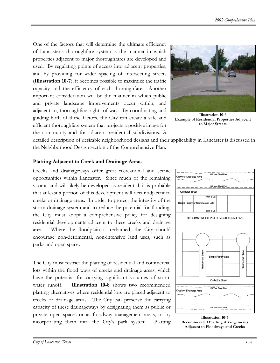One of the factors that will determine the ultimate efficiency of Lancaster's thoroughfare system is the manner in which properties adjacent to major thoroughfares are developed and used. By regulating points of access into adjacent properties, and by providing for wider spacing of intersecting streets (**Illustration 10-7**), it becomes possible to maximize the traffic capacity and the efficiency of each thoroughfare. Another important consideration will be the manner in which public and private landscape improvements occur within, and adjacent to, thoroughfare rights-of-way. By coordinating and guiding both of these factors, the City can create a safe and efficient thoroughfare system that projects a positive image for the community and for adjacent residential subdivisions. A



**Illustration 10-6 Example of Residential Properties Adjacent to Major Streets** 

detailed description of desirable neighborhood designs and their applicability in Lancaster is discussed in the Neighborhood Design section of the Comprehensive Plan.

## **Platting Adjacent to Creek and Drainage Areas**

Creeks and drainageways offer great recreational and scenic opportunities within Lancaster. Since much of the remaining vacant land will likely be developed as residential, it is probable that at least a portion of this development will occur adjacent to creeks or drainage areas. In order to protect the integrity of the storm drainage system and to reduce the potential for flooding, the City must adopt a comprehensive policy for designing residential developments adjacent to these creeks and drainage areas. Where the floodplain is reclaimed, the City should encourage non-detrimental, non-intensive land uses, such as parks and open space**.**

The City must restrict the platting of residential and commercial lots within the flood ways of creeks and drainage areas, which have the potential for carrying significant volumes of storm water runoff. **Illustration 10-8** shows two recommended platting alternatives where residential lots are placed adjacent to creeks or drainage areas. The City can preserve the carrying capacity of these drainageways by designating them as public or private open spaces or as floodway management areas, or by incorporating them into the City's park system. Platting



**Illustration 10-7 Recommended Platting Arrangements Adjacent to Floodways and Creeks**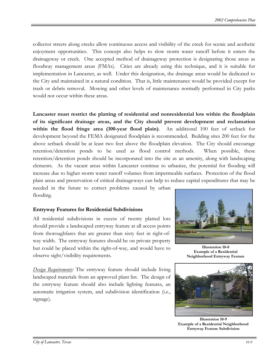collector streets along creeks allow continuous access and visibility of the creek for scenic and aesthetic enjoyment opportunities. This concept also helps to slow storm water runoff before it enters the drainageway or creek. One accepted method of drainageway protection is designating those areas as floodway management areas (FMAs). Cities are already using this technique, and it is suitable for implementation in Lancaster, as well. Under this designation, the drainage areas would be dedicated to the City and maintained in a natural condition. That is, little maintenance would be provided except for trash or debris removal. Mowing and other levels of maintenance normally performed in City parks would not occur within these areas.

**Lancaster must restrict the platting of residential and nonresidential lots within the floodplain of its significant drainage areas, and the City should prevent development and reclamation within the flood fringe area (100-year flood plain)**. An additional 100 feet of setback for development beyond the FEMA designated floodplain is recommended. Building sites 200 feet for the above setback should be at least two feet above the floodplain elevation. The City should encourage retention/detention ponds to be used as flood control methods. When possible, these retention/detention ponds should be incorporated into the site as an amenity, along with landscaping elements. As the vacant areas within Lancaster continue to urbanize, the potential for flooding will increase due to higher storm water runoff volumes from impermeable surfaces. Protection of the flood plain areas and preservation of critical drainageways can help to reduce capital expenditures that may be needed in the future to correct problems caused by urban

### **Entryway Features for Residential Subdivisions**

All residential subdivisions in excess of twenty platted lots should provide a landscaped entryway feature at all access points from thoroughfares that are greater than sixty feet in right-ofway width. The entryway features should be on private property but could be placed within the right-of-way, and would have to observe sight/visibility requirements.

*Design Requirements:* The entryway feature should include living landscaped materials from an approved plant list. The design of the entryway feature should also include lighting features, an automatic irrigation system, and subdivision identification (i.e., signage).



**Illustration 10-8 Example of a Residential Neighborhood Entryway Feature** 



**Illustration 10-9 Example of a Residential Neighborhood Entryway Feature Subdivision**

flooding.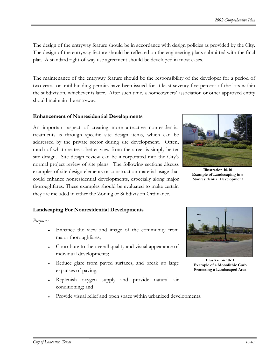The design of the entryway feature should be in accordance with design policies as provided by the City. The design of the entryway feature should be reflected on the engineering plans submitted with the final plat. A standard right-of-way use agreement should be developed in most cases.

The maintenance of the entryway feature should be the responsibility of the developer for a period of two years, or until building permits have been issued for at least seventy-five percent of the lots within the subdivision, whichever is later. After such time, a homeowners' association or other approved entity should maintain the entryway.

#### **Enhancement of Nonresidential Developments**

An important aspect of creating more attractive nonresidential treatments is through specific site design items, which can be addressed by the private sector during site development. Often, much of what creates a better view from the street is simply better site design. Site design review can be incorporated into the City's normal project review of site plans. The following sections discuss examples of site design elements or construction material usage that could enhance nonresidential developments, especially along major thoroughfares. These examples should be evaluated to make certain they are included in either the Zoning or Subdivision Ordinance.



**Illustration 10-10 Example of Landscaping in a Nonresidential Development** 

### **Landscaping For Nonresidential Developments**

#### *Purpose:*

- Enhance the view and image of the community from major thoroughfares;
- Contribute to the overall quality and visual appearance of individual developments;
- Reduce glare from paved surfaces, and break up large expanses of paving;
- Replenish oxygen supply and provide natural air conditioning; and
- Provide visual relief and open space within urbanized developments.



**Illustration 10-11 Example of a Monolithic Curb Protecting a Landscaped Area**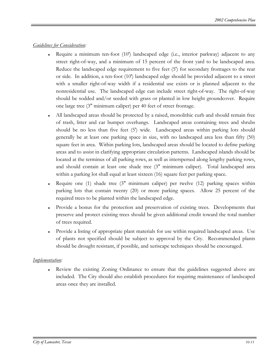## *Guidelines for Consideration:*

- Require a minimum ten-foot  $(10')$  landscaped edge (i.e., interior parkway) adjacent to any street right-of-way, and a minimum of 15 percent of the front yard to be landscaped area. Reduce the landscaped edge requirement to five feet (5') for secondary frontages to the rear or side. In addition, a ten-foot (10') landscaped edge should be provided adjacent to a street with a smaller right-of-way width if a residential use exists or is planned adjacent to the nonresidential use. The landscaped edge can include street right-of-way. The right-of-way should be sodded and/or seeded with grass or planted in low height groundcover. Require one large tree (3" minimum caliper) per 40 feet of street frontage.
- All landscaped areas should be protected by a raised, monolithic curb and should remain free of trash, litter and car bumper overhangs. Landscaped areas containing trees and shrubs should be no less than five feet (5') wide. Landscaped areas within parking lots should generally be at least one parking space in size, with no landscaped area less than fifty (50) square feet in area. Within parking lots, landscaped areas should be located to define parking areas and to assist in clarifying appropriate circulation patterns. Landscaped islands should be located at the terminus of all parking rows, as well as interspersed along lengthy parking rows, and should contain at least one shade tree (3" minimum caliper). Total landscaped area within a parking lot shall equal at least sixteen (16) square feet per parking space.
- Require one (1) shade tree (3" minimum caliper) per twelve (12) parking spaces within parking lots that contain twenty (20) or more parking spaces. Allow 25 percent of the required trees to be planted within the landscaped edge.
- Provide a bonus for the protection and preservation of existing trees. Developments that preserve and protect existing trees should be given additional credit toward the total number of trees required.
- Provide a listing of appropriate plant materials for use within required landscaped areas. Use of plants not specified should be subject to approval by the City. Recommended plants should be drought resistant, if possible, and xeriscape techniques should be encouraged.

## *Implementation:*

Review the existing Zoning Ordinance to ensure that the guidelines suggested above are included. The City should also establish procedures for requiring maintenance of landscaped areas once they are installed.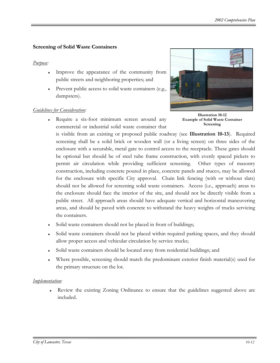## **Screening of Solid Waste Containers**

#### *Purpose:*

- Improve the appearance of the community from public streets and neighboring properties; and
- Prevent public access to solid waste containers (e.g., dumpsters).

### *Guidelines for Consideration:*

Require a six-foot minimum screen around any commercial or industrial solid waste container that



**Illustration 10-12 Example of Solid Waste Container Screening** 

is visible from an existing or proposed public roadway (see **Illustration 10-13**). Required screening shall be a solid brick or wooden wall (or a living screen) on three sides of the enclosure with a securable, metal gate to control access to the receptacle. These gates should be optional but should be of steel tube frame construction, with evenly spaced pickets to permit air circulation while providing sufficient screening. Other types of masonry construction, including concrete poured in place, concrete panels and stucco, may be allowed for the enclosure with specific City approval. Chain link fencing (with or without slats) should not be allowed for screening solid waste containers. Access (i.e., approach) areas to the enclosure should face the interior of the site, and should not be directly visible from a public street. All approach areas should have adequate vertical and horizontal maneuvering areas, and should be paved with concrete to withstand the heavy weights of trucks servicing the containers.

- Solid waste containers should not be placed in front of buildings;
- Solid waste containers should not be placed within required parking spaces, and they should allow proper access and vehicular circulation by service trucks;
- Solid waste containers should be located away from residential buildings; and
- Where possible, screening should match the predominant exterior finish material(s) used for the primary structure on the lot.

### *Implementation:*

Review the existing Zoning Ordinance to ensure that the guidelines suggested above are included.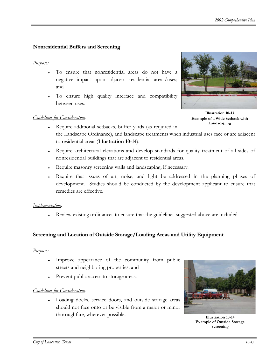## **Nonresidential Buffers and Screening**

## *Purpose:*

- To ensure that nonresidential areas do not have a negative impact upon adjacent residential areas/uses; and
- To ensure high quality interface and compatibility between uses.

## *Guidelines for Consideration:*



**Illustration 10-13 Example of a Wide Setback with Landscaping**

- ♦ Require additional setbacks, buffer yards (as required in the Landscape Ordinance), and landscape treatments when industrial uses face or are adjacent to residential areas (**Illustration 10-14**).
- ♦ Require architectural elevations and develop standards for quality treatment of all sides of nonresidential buildings that are adjacent to residential areas.
- ♦ Require masonry screening walls and landscaping, if necessary.
- Require that issues of air, noise, and light be addressed in the planning phases of development. Studies should be conducted by the development applicant to ensure that remedies are effective.

## *Implementation:*

Review existing ordinances to ensure that the guidelines suggested above are included.

## **Screening and Location of Outside Storage/Loading Areas and Utility Equipment**

## *Purpose:*

- Improve appearance of the community from public streets and neighboring properties; and
- Prevent public access to storage areas.

## *Guidelines for Consideration:*

♦ Loading docks, service doors, and outside storage areas should not face onto or be visible from a major or minor thoroughfare, wherever possible.



**Illustration 10-14 Example of Outside Storage Screening**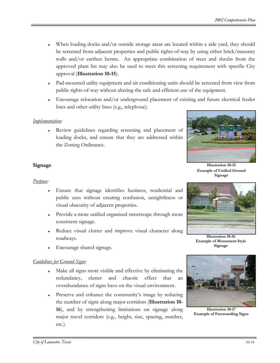- When loading docks and/or outside storage areas are located within a side yard, they should be screened from adjacent properties and public rights-of-way by using either brick/masonry walls and/or earthen berms. An appropriate combination of trees and shrubs from the approved plant list may also be used to meet this screening requirement with specific City approval (**Illustration 10-15**).
- Pad-mounted utility equipment and air conditioning units should be screened from view from public rights-of-way without altering the safe and efficient use of the equipment.
- Encourage relocation and/or underground placement of existing and future electrical feeder lines and other utility lines (e.g., telephone).

## *Implementation:*

Review guidelines regarding screening and placement of loading docks, and ensure that they are addressed within the Zoning Ordinance.



**Illustration 10-15 Example of Unified Ground Signage** 

## **Signage**

## *Purpose:*

- Ensure that signage identifies business, residential and public uses without creating confusion, unsightliness or visual obscurity of adjacent properties.
- ♦ Provide a more unified organized streetscape through more consistent signage.
- Reduce visual clutter and improve visual character along roadways.
- Encourage shared signage.

## *Guidelines for Ground Signs:*

- Make all signs more visible and effective by eliminating the redundancy, clutter and chaotic effect that an overabundance of signs have on the visual environment.
- Preserve and enhance the community's image by reducing the number of signs along major corridors (**Illustration 10- 16**), and by strengthening limitations on signage along major travel corridors (e.g., height, size, spacing, number, etc.).



**Illustration 10-16 Example of Monument-Style Signage**



**Illustration 10-17 Example of Freestanding Signs**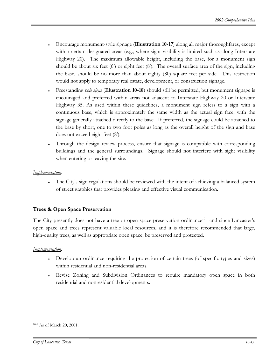- Encourage monument-style signage (**Illustration 10-17**) along all major thoroughfares, except within certain designated areas (e.g., where sight visibility is limited such as along Interstate Highway 20). The maximum allowable height, including the base, for a monument sign should be about six feet (6') or eight feet (8'). The overall surface area of the sign, including the base, should be no more than about eighty (80) square feet per side. This restriction would not apply to temporary real estate, development, or construction signage.
- ♦ Freestanding *pole signs* (**Illustration 10-18**) should still be permitted, but monument signage is encouraged and preferred within areas not adjacent to Interstate Highway 20 or Interstate Highway 35. As used within these guidelines, a monument sign refers to a sign with a continuous base, which is approximately the same width as the actual sign face, with the signage generally attached directly to the base. If preferred, the signage could be attached to the base by short, one to two foot poles as long as the overall height of the sign and base does not exceed eight feet (8').
- Through the design review process, ensure that signage is compatible with corresponding buildings and the general surroundings. Signage should not interfere with sight visibility when entering or leaving the site.

### *Implementation:*

The City's sign regulations should be reviewed with the intent of achieving a balanced system of street graphics that provides pleasing and effective visual communication.

## **Trees & Open Space Preservation**

The City presently does not have a tree or open space preservation ordinance<sup>10-1</sup> and since Lancaster's open space and trees represent valuable local resources, and it is therefore recommended that large, high-quality trees, as well as appropriate open space, be preserved and protected.

## *Implementation:*

- Develop an ordinance requiring the protection of certain trees (of specific types and sizes) within residential and non-residential areas.
- Revise Zoning and Subdivision Ordinances to require mandatory open space in both residential and nonresidential developments.

 $\overline{a}$ 

<span id="page-15-0"></span><sup>10-1</sup> As of March 20, 2001.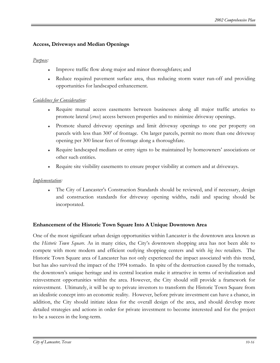## **Access, Driveways and Median Openings**

## *Purpose:*

- Improve traffic flow along major and minor thoroughfares; and
- Reduce required pavement surface area, thus reducing storm water run-off and providing opportunities for landscaped enhancement.

## *Guidelines for Consideration:*

- ♦ Require mutual access easements between businesses along all major traffic arteries to promote lateral (*cross*) access between properties and to minimize driveway openings.
- Promote shared driveway openings and limit driveway openings to one per property on parcels with less than 300' of frontage. On larger parcels, permit no more than one driveway opening per 300 linear feet of frontage along a thoroughfare.
- Require landscaped medians or entry signs to be maintained by homeowners' associations or other such entities.
- Require site visibility easements to ensure proper visibility at corners and at driveways.

### *Implementation:*

The City of Lancaster's Construction Standards should be reviewed, and if necessary, design and construction standards for driveway opening widths, radii and spacing should be incorporated.

## **Enhancement of the Historic Town Square Into A Unique Downtown Area**

One of the most significant urban design opportunities within Lancaster is the downtown area known as the *Historic Town Square*. As in many cities, the City's downtown shopping area has not been able to compete with more modern and efficient outlying shopping centers and with *big box* retailers. The Historic Town Square area of Lancaster has not only experienced the impact associated with this trend, but has also survived the impact of the 1994 tornado. In spite of the destruction caused by the tornado, the downtown's unique heritage and its central location make it attractive in terms of revitalization and reinvestment opportunities within the area. However, the City should still provide a framework for reinvestment. Ultimately, it will be up to private investors to transform the Historic Town Square from an idealistic concept into an economic reality. However, before private investment can have a chance, in addition, the City should initiate ideas for the overall design of the area, and should develop more detailed strategies and actions in order for private investment to become interested and for the project to be a success in the long-term.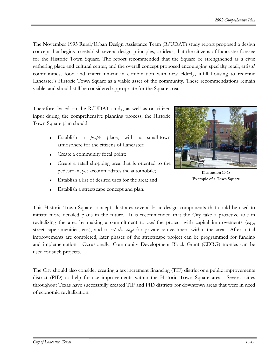The November 1995 Rural/Urban Design Assistance Team (R/UDAT) study report proposed a design concept that begins to establish several design principles, or ideas, that the citizens of Lancaster foresee for the Historic Town Square. The report recommended that the Square be strengthened as a civic gathering place and cultural center, and the overall concept proposed encouraging specialty retail, artists' communities, food and entertainment in combination with new elderly, infill housing to redefine Lancaster's Historic Town Square as a viable asset of the community. These recommendations remain viable, and should still be considered appropriate for the Square area.

Therefore, based on the R/UDAT study, as well as on citizen input during the comprehensive planning process, the Historic Town Square plan should:

- ♦ Establish a *people* place, with a small-town atmosphere for the citizens of Lancaster;
- ♦ Create a community focal point;
- ♦ Create a retail shopping area that is oriented to the pedestrian, yet accommodates the automobile;
- Establish a list of desired uses for the area; and
- Establish a streetscape concept and plan.



**Illustration 10-18 Example of a Town Square** 

This Historic Town Square concept illustrates several basic design components that could be used to initiate more detailed plans in the future. It is recommended that the City take a proactive role in revitalizing the area by making a commitment to *seed* the project with capital improvements (e.g., streetscape amenities, etc.), and to *set the stage* for private reinvestment within the area. After initial improvements are completed, later phases of the streetscape project can be programmed for funding and implementation. Occasionally, Community Development Block Grant (CDBG) monies can be used for such projects.

The City should also consider creating a tax increment financing (TIF) district or a public improvements district (PID) to help finance improvements within the Historic Town Square area. Several cities throughout Texas have successfully created TIF and PID districts for downtown areas that were in need of economic revitalization.